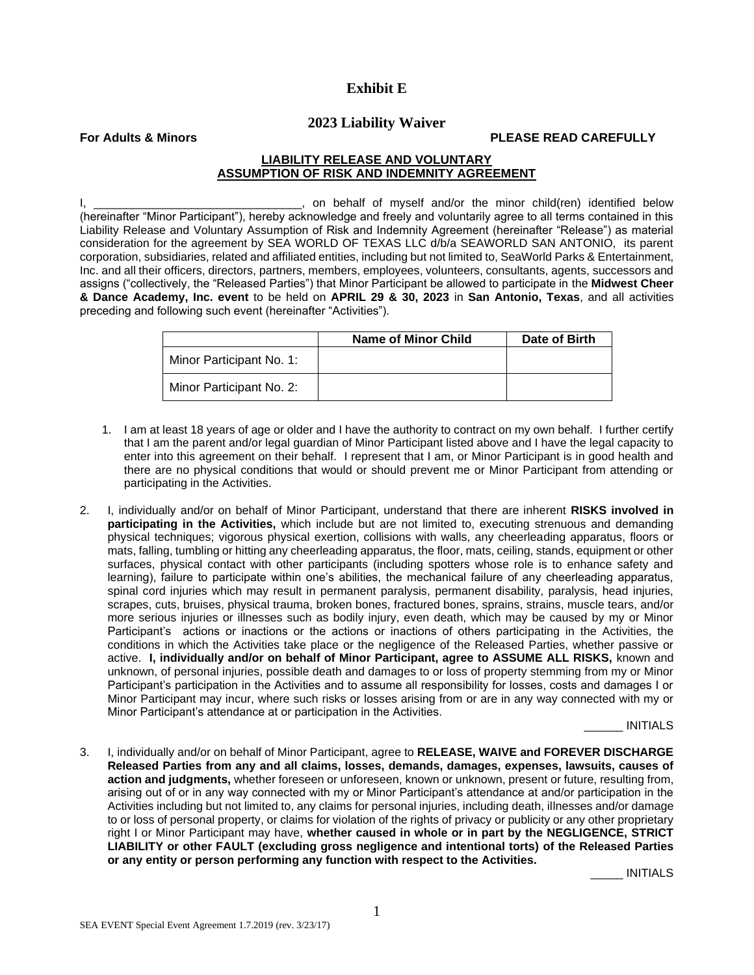# **Exhibit E**

## **2023 Liability Waiver**

**For Adults & Minors PLEASE READ CAREFULLY**

## **LIABILITY RELEASE AND VOLUNTARY ASSUMPTION OF RISK AND INDEMNITY AGREEMENT**

I, \_\_\_\_\_\_\_\_\_\_\_\_\_\_\_\_\_\_\_\_\_\_\_\_\_\_\_\_\_\_\_, on behalf of myself and/or the minor child(ren) identified below (hereinafter "Minor Participant"), hereby acknowledge and freely and voluntarily agree to all terms contained in this Liability Release and Voluntary Assumption of Risk and Indemnity Agreement (hereinafter "Release") as material consideration for the agreement by SEA WORLD OF TEXAS LLC d/b/a SEAWORLD SAN ANTONIO, its parent corporation, subsidiaries, related and affiliated entities, including but not limited to, SeaWorld Parks & Entertainment, Inc. and all their officers, directors, partners, members, employees, volunteers, consultants, agents, successors and assigns ("collectively, the "Released Parties") that Minor Participant be allowed to participate in the **Midwest Cheer & Dance Academy, Inc. event** to be held on **APRIL 29 & 30, 2023** in **San Antonio, Texas**, and all activities preceding and following such event (hereinafter "Activities").

|                          | Name of Minor Child | Date of Birth |
|--------------------------|---------------------|---------------|
| Minor Participant No. 1: |                     |               |
| Minor Participant No. 2: |                     |               |

- 1. I am at least 18 years of age or older and I have the authority to contract on my own behalf. I further certify that I am the parent and/or legal guardian of Minor Participant listed above and I have the legal capacity to enter into this agreement on their behalf. I represent that I am, or Minor Participant is in good health and there are no physical conditions that would or should prevent me or Minor Participant from attending or participating in the Activities.
- 2. I, individually and/or on behalf of Minor Participant, understand that there are inherent **RISKS involved in participating in the Activities,** which include but are not limited to, executing strenuous and demanding physical techniques; vigorous physical exertion, collisions with walls, any cheerleading apparatus, floors or mats, falling, tumbling or hitting any cheerleading apparatus, the floor, mats, ceiling, stands, equipment or other surfaces, physical contact with other participants (including spotters whose role is to enhance safety and learning), failure to participate within one's abilities, the mechanical failure of any cheerleading apparatus, spinal cord injuries which may result in permanent paralysis, permanent disability, paralysis, head injuries, scrapes, cuts, bruises, physical trauma, broken bones, fractured bones, sprains, strains, muscle tears, and/or more serious injuries or illnesses such as bodily injury, even death, which may be caused by my or Minor Participant's actions or inactions or the actions or inactions of others participating in the Activities, the conditions in which the Activities take place or the negligence of the Released Parties, whether passive or active. **I, individually and/or on behalf of Minor Participant, agree to ASSUME ALL RISKS,** known and unknown, of personal injuries, possible death and damages to or loss of property stemming from my or Minor Participant's participation in the Activities and to assume all responsibility for losses, costs and damages I or Minor Participant may incur, where such risks or losses arising from or are in any way connected with my or Minor Participant's attendance at or participation in the Activities.

\_\_\_\_\_\_ INITIALS

3. I, individually and/or on behalf of Minor Participant, agree to **RELEASE, WAIVE and FOREVER DISCHARGE Released Parties from any and all claims, losses, demands, damages, expenses, lawsuits, causes of action and judgments,** whether foreseen or unforeseen, known or unknown, present or future, resulting from, arising out of or in any way connected with my or Minor Participant's attendance at and/or participation in the Activities including but not limited to, any claims for personal injuries, including death, illnesses and/or damage to or loss of personal property, or claims for violation of the rights of privacy or publicity or any other proprietary right I or Minor Participant may have, **whether caused in whole or in part by the NEGLIGENCE, STRICT LIABILITY or other FAULT (excluding gross negligence and intentional torts) of the Released Parties or any entity or person performing any function with respect to the Activities.**

\_\_\_\_\_ INITIALS